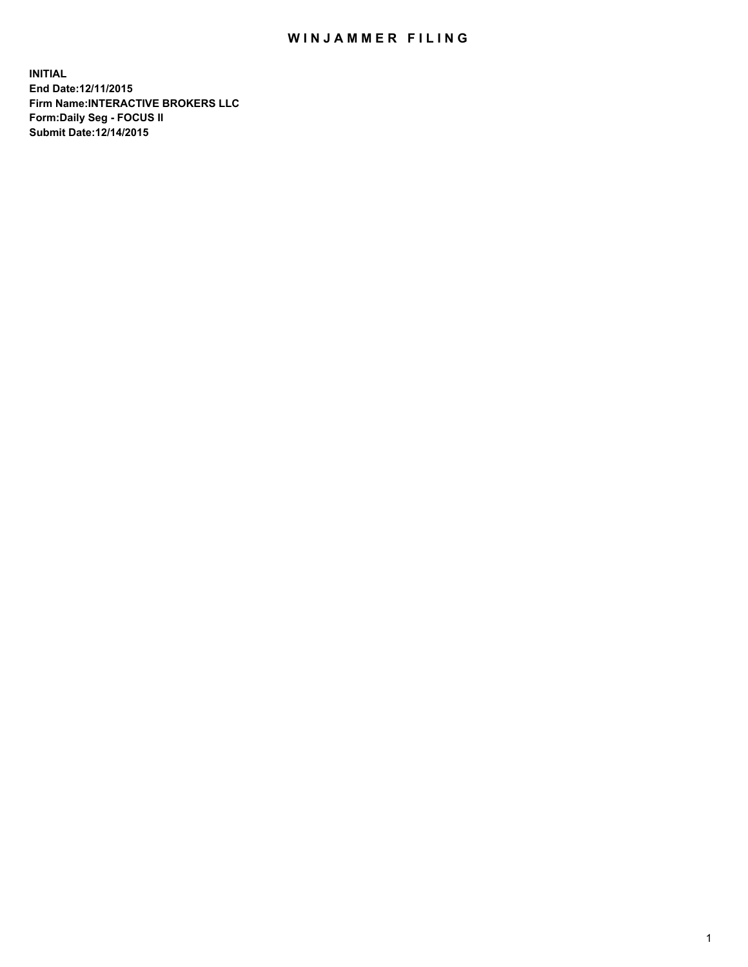## WIN JAMMER FILING

**INITIAL End Date:12/11/2015 Firm Name:INTERACTIVE BROKERS LLC Form:Daily Seg - FOCUS II Submit Date:12/14/2015**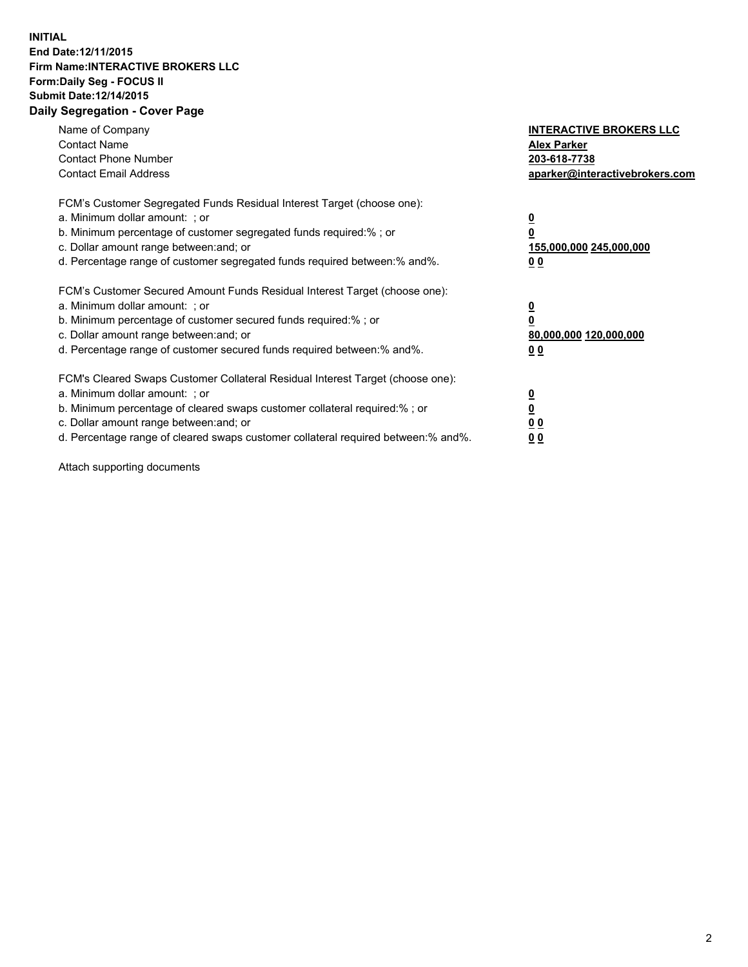## **INITIAL End Date:12/11/2015 Firm Name:INTERACTIVE BROKERS LLC Form:Daily Seg - FOCUS II Submit Date:12/14/2015 Daily Segregation - Cover Page**

| Name of Company<br><b>Contact Name</b><br><b>Contact Phone Number</b><br><b>Contact Email Address</b>                                                                                                                                                                                                                         | <b>INTERACTIVE BROKERS LLC</b><br><b>Alex Parker</b><br>203-618-7738<br>aparker@interactivebrokers.com |
|-------------------------------------------------------------------------------------------------------------------------------------------------------------------------------------------------------------------------------------------------------------------------------------------------------------------------------|--------------------------------------------------------------------------------------------------------|
| FCM's Customer Segregated Funds Residual Interest Target (choose one):<br>a. Minimum dollar amount: ; or<br>b. Minimum percentage of customer segregated funds required:% ; or<br>c. Dollar amount range between: and; or<br>d. Percentage range of customer segregated funds required between:% and%.                        | <u>0</u><br><u>155,000,000 245,000,000</u><br>00                                                       |
| FCM's Customer Secured Amount Funds Residual Interest Target (choose one):<br>a. Minimum dollar amount: ; or<br>b. Minimum percentage of customer secured funds required:% ; or<br>c. Dollar amount range between: and; or<br>d. Percentage range of customer secured funds required between: % and %.                        | $\overline{\mathbf{0}}$<br>80,000,000 120,000,000<br>00                                                |
| FCM's Cleared Swaps Customer Collateral Residual Interest Target (choose one):<br>a. Minimum dollar amount: ; or<br>b. Minimum percentage of cleared swaps customer collateral required:%; or<br>c. Dollar amount range between: and; or<br>d. Percentage range of cleared swaps customer collateral required between:% and%. | <u>0</u><br>0 <sub>0</sub><br><u>00</u>                                                                |

Attach supporting documents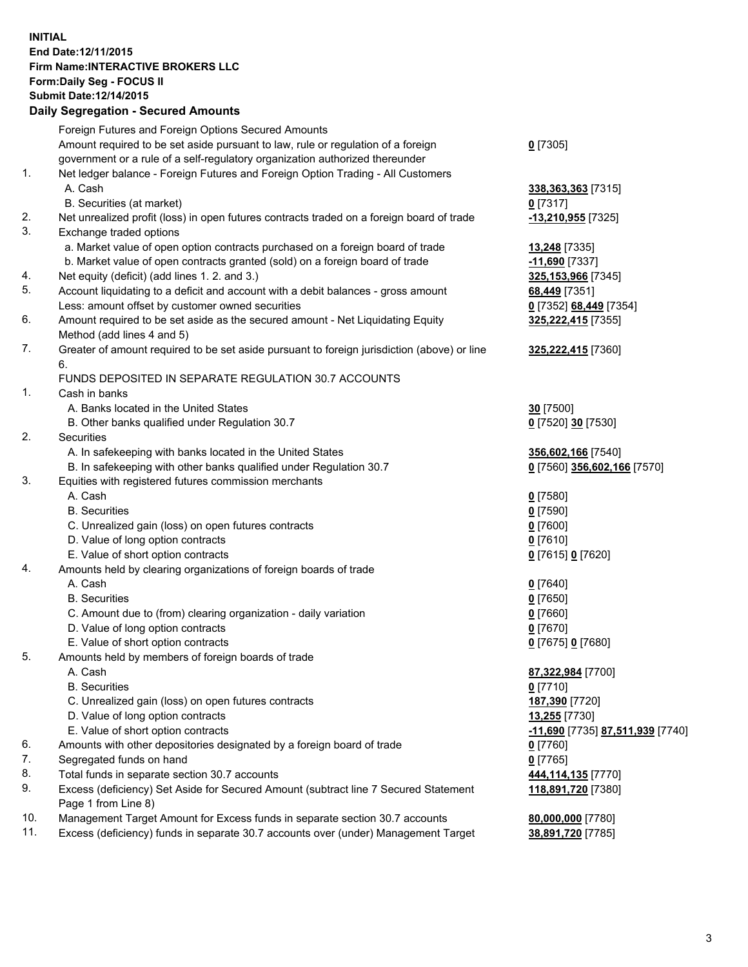## **INITIAL End Date:12/11/2015 Firm Name:INTERACTIVE BROKERS LLC Form:Daily Seg - FOCUS II Submit Date:12/14/2015 Daily Segregation - Secured Amounts**

|     | Daily Ocglegation - Occuled Amounts                                                                        |                                  |
|-----|------------------------------------------------------------------------------------------------------------|----------------------------------|
|     | Foreign Futures and Foreign Options Secured Amounts                                                        |                                  |
|     | Amount required to be set aside pursuant to law, rule or regulation of a foreign                           | $0$ [7305]                       |
|     | government or a rule of a self-regulatory organization authorized thereunder                               |                                  |
| 1.  | Net ledger balance - Foreign Futures and Foreign Option Trading - All Customers                            |                                  |
|     | A. Cash                                                                                                    | 338, 363, 363 [7315]             |
|     | B. Securities (at market)                                                                                  | $0$ [7317]                       |
| 2.  | Net unrealized profit (loss) in open futures contracts traded on a foreign board of trade                  | -13,210,955 [7325]               |
| 3.  | Exchange traded options                                                                                    |                                  |
|     | a. Market value of open option contracts purchased on a foreign board of trade                             | <b>13,248</b> [7335]             |
|     | b. Market value of open contracts granted (sold) on a foreign board of trade                               | -11,690 <sup>[7337]</sup>        |
| 4.  | Net equity (deficit) (add lines 1. 2. and 3.)                                                              | 325,153,966 [7345]               |
| 5.  | Account liquidating to a deficit and account with a debit balances - gross amount                          | 68,449 [7351]                    |
|     | Less: amount offset by customer owned securities                                                           | 0 [7352] 68,449 [7354]           |
| 6.  | Amount required to be set aside as the secured amount - Net Liquidating Equity                             | 325, 222, 415 [7355]             |
|     | Method (add lines 4 and 5)                                                                                 |                                  |
| 7.  | Greater of amount required to be set aside pursuant to foreign jurisdiction (above) or line                | 325,222,415 [7360]               |
|     | 6.                                                                                                         |                                  |
|     | FUNDS DEPOSITED IN SEPARATE REGULATION 30.7 ACCOUNTS                                                       |                                  |
| 1.  | Cash in banks                                                                                              |                                  |
|     | A. Banks located in the United States                                                                      | 30 [7500]                        |
|     | B. Other banks qualified under Regulation 30.7                                                             | 0 [7520] 30 [7530]               |
| 2.  | Securities                                                                                                 |                                  |
|     | A. In safekeeping with banks located in the United States                                                  | 356,602,166 [7540]               |
|     | B. In safekeeping with other banks qualified under Regulation 30.7                                         | 0 [7560] 356,602,166 [7570]      |
| 3.  | Equities with registered futures commission merchants                                                      |                                  |
|     | A. Cash                                                                                                    | $0$ [7580]                       |
|     | <b>B.</b> Securities                                                                                       | $0$ [7590]                       |
|     | C. Unrealized gain (loss) on open futures contracts                                                        | $0$ [7600]                       |
|     | D. Value of long option contracts                                                                          | $0$ [7610]                       |
|     | E. Value of short option contracts                                                                         | 0 [7615] 0 [7620]                |
| 4.  | Amounts held by clearing organizations of foreign boards of trade                                          |                                  |
|     | A. Cash                                                                                                    | $0$ [7640]                       |
|     | <b>B.</b> Securities                                                                                       | $0$ [7650]                       |
|     | C. Amount due to (from) clearing organization - daily variation                                            | $0$ [7660]                       |
|     | D. Value of long option contracts                                                                          | $0$ [7670]                       |
|     | E. Value of short option contracts                                                                         | 0 [7675] 0 [7680]                |
| 5.  | Amounts held by members of foreign boards of trade                                                         |                                  |
|     | A. Cash                                                                                                    | 87,322,984 [7700]                |
|     | <b>B.</b> Securities                                                                                       | $0$ [7710]                       |
|     | C. Unrealized gain (loss) on open futures contracts                                                        | 187,390 [7720]                   |
|     | D. Value of long option contracts                                                                          | 13,255 [7730]                    |
|     | E. Value of short option contracts                                                                         | -11,690 [7735] 87,511,939 [7740] |
| 6.  | Amounts with other depositories designated by a foreign board of trade                                     | 0 [7760]                         |
| 7.  | Segregated funds on hand                                                                                   | $0$ [7765]                       |
| 8.  | Total funds in separate section 30.7 accounts                                                              | 444, 114, 135 [7770]             |
| 9.  | Excess (deficiency) Set Aside for Secured Amount (subtract line 7 Secured Statement<br>Page 1 from Line 8) | 118,891,720 [7380]               |
| 10. | Management Target Amount for Excess funds in separate section 30.7 accounts                                | 80,000,000 [7780]                |
| 11. | Excess (deficiency) funds in separate 30.7 accounts over (under) Management Target                         | 38,891,720 [7785]                |
|     |                                                                                                            |                                  |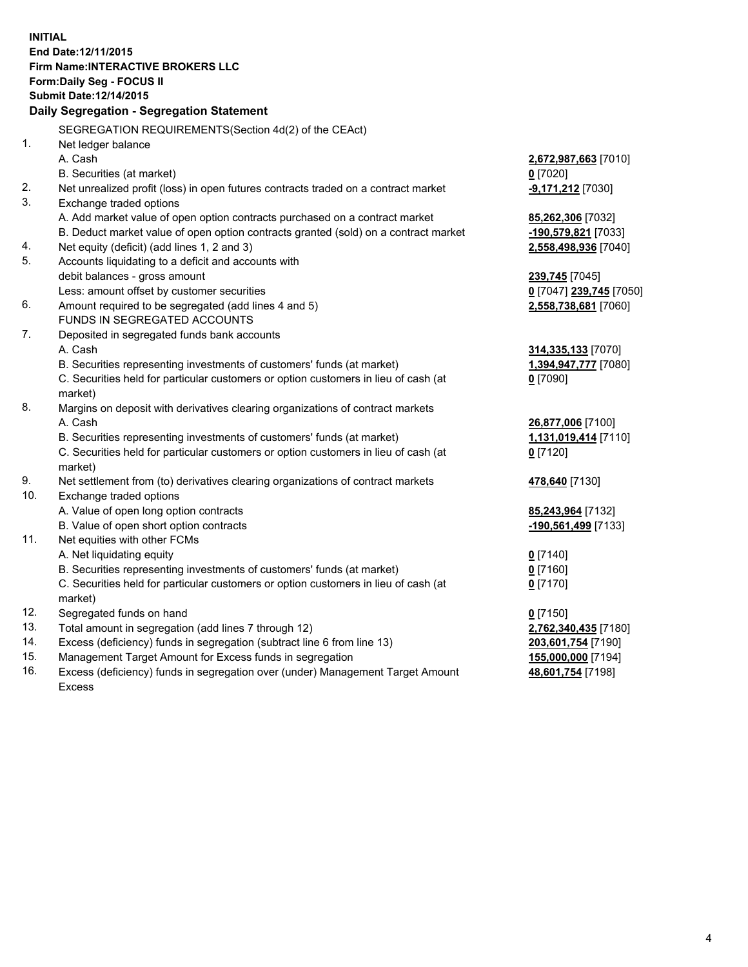**INITIAL End Date:12/11/2015 Firm Name:INTERACTIVE BROKERS LLC Form:Daily Seg - FOCUS II Submit Date:12/14/2015 Daily Segregation - Segregation Statement** SEGREGATION REQUIREMENTS(Section 4d(2) of the CEAct) 1. Net ledger balance A. Cash **2,672,987,663** [7010] B. Securities (at market) **0** [7020] 2. Net unrealized profit (loss) in open futures contracts traded on a contract market **-9,171,212** [7030] 3. Exchange traded options A. Add market value of open option contracts purchased on a contract market **85,262,306** [7032] B. Deduct market value of open option contracts granted (sold) on a contract market **-190,579,821** [7033] 4. Net equity (deficit) (add lines 1, 2 and 3) **2,558,498,936** [7040] 5. Accounts liquidating to a deficit and accounts with debit balances - gross amount **239,745** [7045] Less: amount offset by customer securities **0** [7047] **239,745** [7050] 6. Amount required to be segregated (add lines 4 and 5) **2,558,738,681** [7060] FUNDS IN SEGREGATED ACCOUNTS 7. Deposited in segregated funds bank accounts A. Cash **314,335,133** [7070] B. Securities representing investments of customers' funds (at market) **1,394,947,777** [7080] C. Securities held for particular customers or option customers in lieu of cash (at market) **0** [7090] 8. Margins on deposit with derivatives clearing organizations of contract markets A. Cash **26,877,006** [7100] B. Securities representing investments of customers' funds (at market) **1,131,019,414** [7110] C. Securities held for particular customers or option customers in lieu of cash (at market) **0** [7120] 9. Net settlement from (to) derivatives clearing organizations of contract markets **478,640** [7130] 10. Exchange traded options A. Value of open long option contracts **85,243,964** [7132] B. Value of open short option contracts **-190,561,499** [7133] 11. Net equities with other FCMs A. Net liquidating equity **0** [7140] B. Securities representing investments of customers' funds (at market) **0** [7160] C. Securities held for particular customers or option customers in lieu of cash (at market) **0** [7170] 12. Segregated funds on hand **0** [7150] 13. Total amount in segregation (add lines 7 through 12) **2,762,340,435** [7180] 14. Excess (deficiency) funds in segregation (subtract line 6 from line 13) **203,601,754** [7190] 15. Management Target Amount for Excess funds in segregation **155,000,000** [7194] **48,601,754** [7198]

16. Excess (deficiency) funds in segregation over (under) Management Target Amount Excess